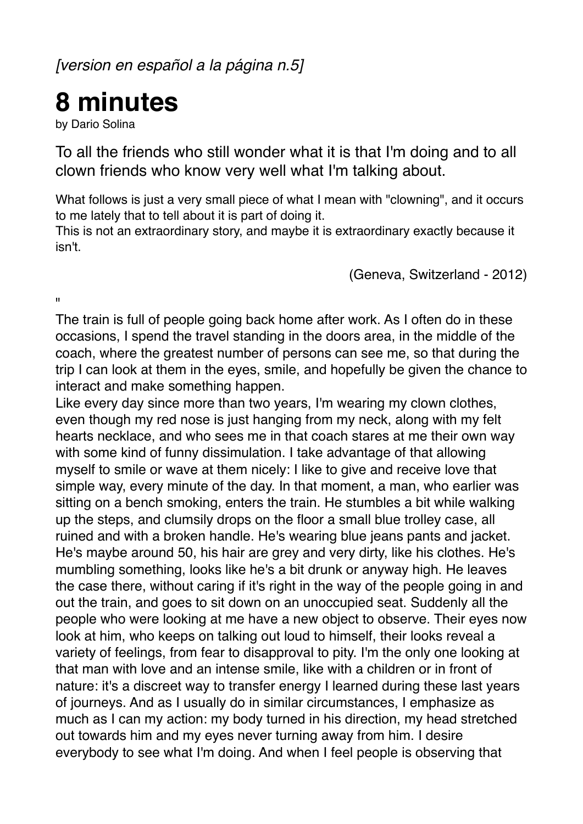*[version en español a la página n.5]*

## **8 minutes**

by Dario Solina

To all the friends who still wonder what it is that I'm doing and to all clown friends who know very well what I'm talking about.

What follows is just a very small piece of what I mean with "clowning", and it occurs to me lately that to tell about it is part of doing it.

This is not an extraordinary story, and maybe it is extraordinary exactly because it isn't.

(Geneva, Switzerland - 2012)

 $\mathbf{u}$ 

The train is full of people going back home after work. As I often do in these occasions, I spend the travel standing in the doors area, in the middle of the coach, where the greatest number of persons can see me, so that during the trip I can look at them in the eyes, smile, and hopefully be given the chance to interact and make something happen.

Like every day since more than two years, I'm wearing my clown clothes, even though my red nose is just hanging from my neck, along with my felt hearts necklace, and who sees me in that coach stares at me their own way with some kind of funny dissimulation. I take advantage of that allowing myself to smile or wave at them nicely: I like to give and receive love that simple way, every minute of the day. In that moment, a man, who earlier was sitting on a bench smoking, enters the train. He stumbles a bit while walking up the steps, and clumsily drops on the floor a small blue trolley case, all ruined and with a broken handle. He's wearing blue jeans pants and jacket. He's maybe around 50, his hair are grey and very dirty, like his clothes. He's mumbling something, looks like he's a bit drunk or anyway high. He leaves the case there, without caring if it's right in the way of the people going in and out the train, and goes to sit down on an unoccupied seat. Suddenly all the people who were looking at me have a new object to observe. Their eyes now look at him, who keeps on talking out loud to himself, their looks reveal a variety of feelings, from fear to disapproval to pity. I'm the only one looking at that man with love and an intense smile, like with a children or in front of nature: it's a discreet way to transfer energy I learned during these last years of journeys. And as I usually do in similar circumstances, I emphasize as much as I can my action: my body turned in his direction, my head stretched out towards him and my eyes never turning away from him. I desire everybody to see what I'm doing. And when I feel people is observing that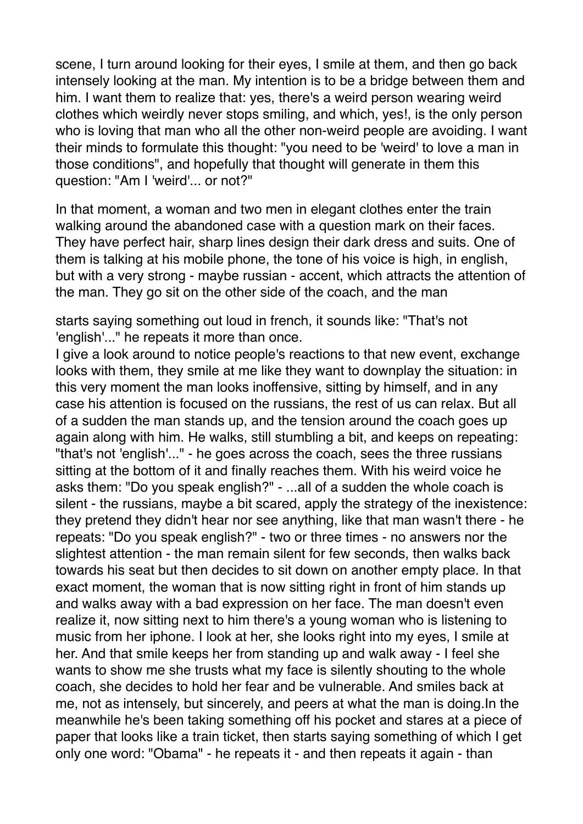scene, I turn around looking for their eyes, I smile at them, and then go back intensely looking at the man. My intention is to be a bridge between them and him. I want them to realize that: yes, there's a weird person wearing weird clothes which weirdly never stops smiling, and which, yes!, is the only person who is loving that man who all the other non-weird people are avoiding. I want their minds to formulate this thought: "you need to be 'weird' to love a man in those conditions", and hopefully that thought will generate in them this question: "Am I 'weird'... or not?"

In that moment, a woman and two men in elegant clothes enter the train walking around the abandoned case with a question mark on their faces. They have perfect hair, sharp lines design their dark dress and suits. One of them is talking at his mobile phone, the tone of his voice is high, in english, but with a very strong - maybe russian - accent, which attracts the attention of the man. They go sit on the other side of the coach, and the man

starts saying something out loud in french, it sounds like: "That's not 'english'..." he repeats it more than once.

I give a look around to notice people's reactions to that new event, exchange looks with them, they smile at me like they want to downplay the situation: in this very moment the man looks inoffensive, sitting by himself, and in any case his attention is focused on the russians, the rest of us can relax. But all of a sudden the man stands up, and the tension around the coach goes up again along with him. He walks, still stumbling a bit, and keeps on repeating: "that's not 'english'..." - he goes across the coach, sees the three russians sitting at the bottom of it and finally reaches them. With his weird voice he asks them: "Do you speak english?" - ...all of a sudden the whole coach is silent - the russians, maybe a bit scared, apply the strategy of the inexistence: they pretend they didn't hear nor see anything, like that man wasn't there - he repeats: "Do you speak english?" - two or three times - no answers nor the slightest attention - the man remain silent for few seconds, then walks back towards his seat but then decides to sit down on another empty place. In that exact moment, the woman that is now sitting right in front of him stands up and walks away with a bad expression on her face. The man doesn't even realize it, now sitting next to him there's a young woman who is listening to music from her iphone. I look at her, she looks right into my eyes, I smile at her. And that smile keeps her from standing up and walk away - I feel she wants to show me she trusts what my face is silently shouting to the whole coach, she decides to hold her fear and be vulnerable. And smiles back at me, not as intensely, but sincerely, and peers at what the man is doing.In the meanwhile he's been taking something off his pocket and stares at a piece of paper that looks like a train ticket, then starts saying something of which I get only one word: "Obama" - he repeats it - and then repeats it again - than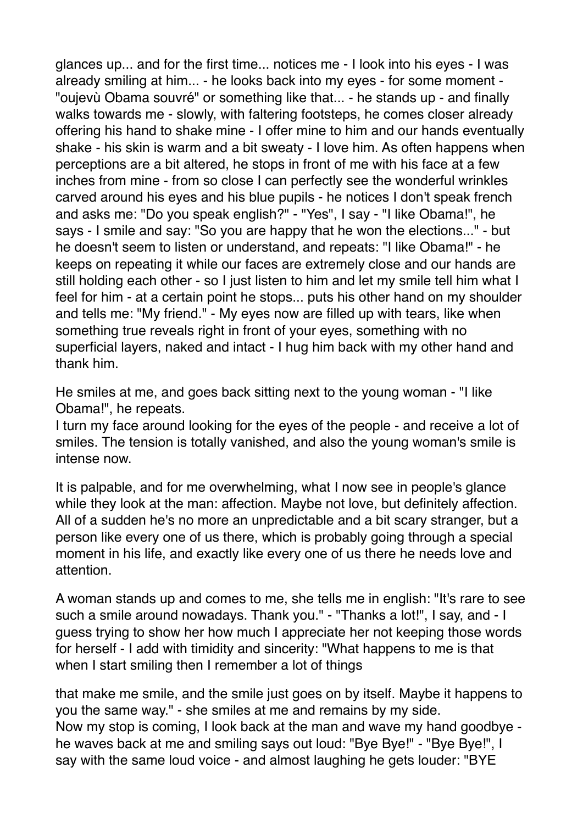glances up... and for the first time... notices me - I look into his eyes - I was already smiling at him... - he looks back into my eyes - for some moment - "oujevù Obama souvré" or something like that... - he stands up - and finally walks towards me - slowly, with faltering footsteps, he comes closer already offering his hand to shake mine - I offer mine to him and our hands eventually shake - his skin is warm and a bit sweaty - I love him. As often happens when perceptions are a bit altered, he stops in front of me with his face at a few inches from mine - from so close I can perfectly see the wonderful wrinkles carved around his eyes and his blue pupils - he notices I don't speak french and asks me: "Do you speak english?" - "Yes", I say - "I like Obama!", he says - I smile and say: "So you are happy that he won the elections..." - but he doesn't seem to listen or understand, and repeats: "I like Obama!" - he keeps on repeating it while our faces are extremely close and our hands are still holding each other - so I just listen to him and let my smile tell him what I feel for him - at a certain point he stops... puts his other hand on my shoulder and tells me: "My friend." - My eyes now are filled up with tears, like when something true reveals right in front of your eyes, something with no superficial layers, naked and intact - I hug him back with my other hand and thank him.

He smiles at me, and goes back sitting next to the young woman - "I like Obama!", he repeats.

I turn my face around looking for the eyes of the people - and receive a lot of smiles. The tension is totally vanished, and also the young woman's smile is intense now.

It is palpable, and for me overwhelming, what I now see in people's glance while they look at the man: affection. Maybe not love, but definitely affection. All of a sudden he's no more an unpredictable and a bit scary stranger, but a person like every one of us there, which is probably going through a special moment in his life, and exactly like every one of us there he needs love and attention.

A woman stands up and comes to me, she tells me in english: "It's rare to see such a smile around nowadays. Thank you." - "Thanks a lot!", I say, and - I guess trying to show her how much I appreciate her not keeping those words for herself - I add with timidity and sincerity: "What happens to me is that when I start smiling then I remember a lot of things

that make me smile, and the smile just goes on by itself. Maybe it happens to you the same way." - she smiles at me and remains by my side. Now my stop is coming, I look back at the man and wave my hand goodbye he waves back at me and smiling says out loud: "Bye Bye!" - "Bye Bye!", I say with the same loud voice - and almost laughing he gets louder: "BYE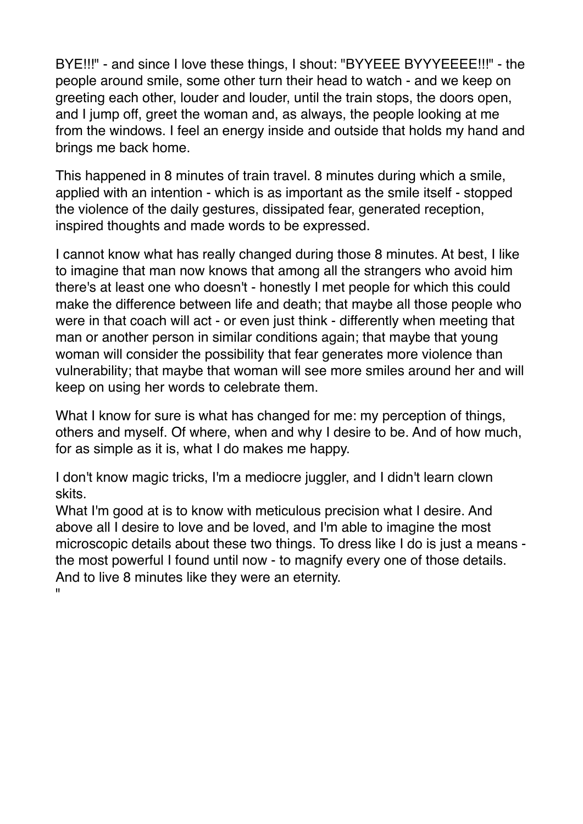BYE!!!" - and since I love these things, I shout: "BYYEEE BYYYEEEE!!!" - the people around smile, some other turn their head to watch - and we keep on greeting each other, louder and louder, until the train stops, the doors open, and I jump off, greet the woman and, as always, the people looking at me from the windows. I feel an energy inside and outside that holds my hand and brings me back home.

This happened in 8 minutes of train travel. 8 minutes during which a smile, applied with an intention - which is as important as the smile itself - stopped the violence of the daily gestures, dissipated fear, generated reception, inspired thoughts and made words to be expressed.

I cannot know what has really changed during those 8 minutes. At best, I like to imagine that man now knows that among all the strangers who avoid him there's at least one who doesn't - honestly I met people for which this could make the difference between life and death; that maybe all those people who were in that coach will act - or even just think - differently when meeting that man or another person in similar conditions again; that maybe that young woman will consider the possibility that fear generates more violence than vulnerability; that maybe that woman will see more smiles around her and will keep on using her words to celebrate them.

What I know for sure is what has changed for me: my perception of things, others and myself. Of where, when and why I desire to be. And of how much, for as simple as it is, what I do makes me happy.

I don't know magic tricks, I'm a mediocre juggler, and I didn't learn clown skits.

What I'm good at is to know with meticulous precision what I desire. And above all I desire to love and be loved, and I'm able to imagine the most microscopic details about these two things. To dress like I do is just a means the most powerful I found until now - to magnify every one of those details. And to live 8 minutes like they were an eternity. "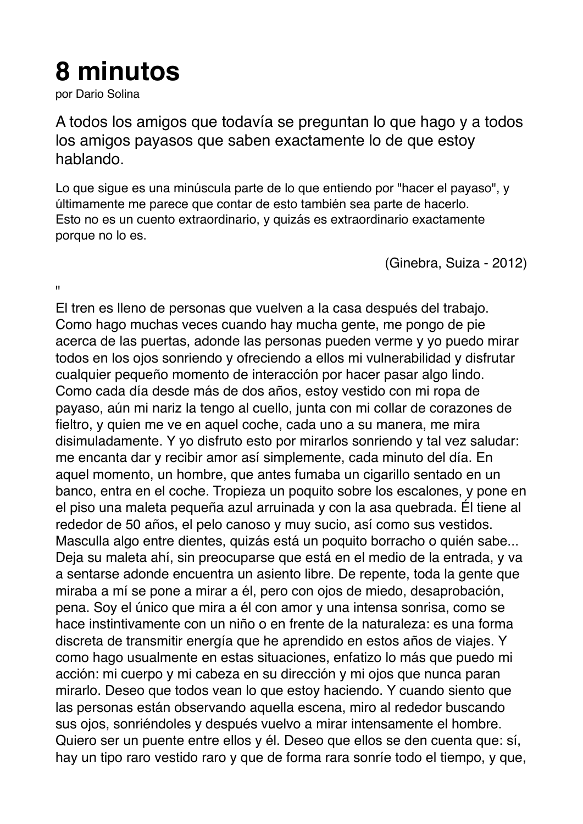## **8 minutos**

por Dario Solina

A todos los amigos que todavía se preguntan lo que hago y a todos los amigos payasos que saben exactamente lo de que estoy hablando.

Lo que sigue es una minúscula parte de lo que entiendo por "hacer el payaso", y últimamente me parece que contar de esto también sea parte de hacerlo. Esto no es un cuento extraordinario, y quizás es extraordinario exactamente porque no lo es.

(Ginebra, Suiza - 2012)

 $\mathbf{u}$ 

El tren es lleno de personas que vuelven a la casa después del trabajo. Como hago muchas veces cuando hay mucha gente, me pongo de pie acerca de las puertas, adonde las personas pueden verme y yo puedo mirar todos en los ojos sonriendo y ofreciendo a ellos mi vulnerabilidad y disfrutar cualquier pequeño momento de interacción por hacer pasar algo lindo. Como cada día desde más de dos años, estoy vestido con mi ropa de payaso, aún mi nariz la tengo al cuello, junta con mi collar de corazones de fieltro, y quien me ve en aquel coche, cada uno a su manera, me mira disimuladamente. Y yo disfruto esto por mirarlos sonriendo y tal vez saludar: me encanta dar y recibir amor así simplemente, cada minuto del día. En aquel momento, un hombre, que antes fumaba un cigarillo sentado en un banco, entra en el coche. Tropieza un poquito sobre los escalones, y pone en el piso una maleta pequeña azul arruinada y con la asa quebrada. Él tiene al rededor de 50 años, el pelo canoso y muy sucio, así como sus vestidos. Masculla algo entre dientes, quizás está un poquito borracho o quién sabe... Deja su maleta ahí, sin preocuparse que está en el medio de la entrada, y va a sentarse adonde encuentra un asiento libre. De repente, toda la gente que miraba a mí se pone a mirar a él, pero con ojos de miedo, desaprobación, pena. Soy el único que mira a él con amor y una intensa sonrisa, como se hace instintivamente con un niño o en frente de la naturaleza: es una forma discreta de transmitir energía que he aprendido en estos años de viajes. Y como hago usualmente en estas situaciones, enfatizo lo más que puedo mi acción: mi cuerpo y mi cabeza en su dirección y mi ojos que nunca paran mirarlo. Deseo que todos vean lo que estoy haciendo. Y cuando siento que las personas están observando aquella escena, miro al rededor buscando sus ojos, sonriéndoles y después vuelvo a mirar intensamente el hombre. Quiero ser un puente entre ellos y él. Deseo que ellos se den cuenta que: sí, hay un tipo raro vestido raro y que de forma rara sonríe todo el tiempo, y que,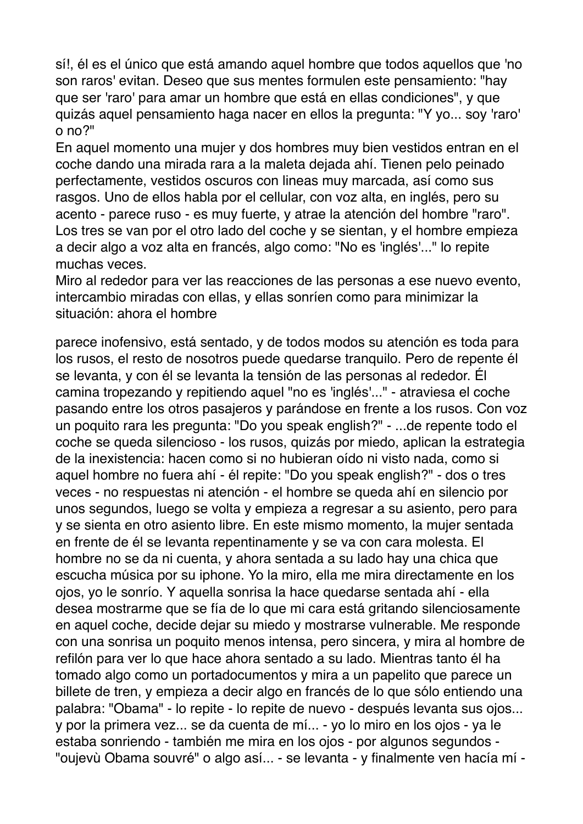sí!, él es el único que está amando aquel hombre que todos aquellos que 'no son raros' evitan. Deseo que sus mentes formulen este pensamiento: "hay que ser 'raro' para amar un hombre que está en ellas condiciones", y que quizás aquel pensamiento haga nacer en ellos la pregunta: "Y yo... soy 'raro' o no?"

En aquel momento una mujer y dos hombres muy bien vestidos entran en el coche dando una mirada rara a la maleta dejada ahí. Tienen pelo peinado perfectamente, vestidos oscuros con lineas muy marcada, así como sus rasgos. Uno de ellos habla por el cellular, con voz alta, en inglés, pero su acento - parece ruso - es muy fuerte, y atrae la atención del hombre "raro". Los tres se van por el otro lado del coche y se sientan, y el hombre empieza a decir algo a voz alta en francés, algo como: "No es 'inglés'..." lo repite muchas veces.

Miro al rededor para ver las reacciones de las personas a ese nuevo evento, intercambio miradas con ellas, y ellas sonríen como para minimizar la situación: ahora el hombre

parece inofensivo, está sentado, y de todos modos su atención es toda para los rusos, el resto de nosotros puede quedarse tranquilo. Pero de repente él se levanta, y con él se levanta la tensión de las personas al rededor. Él camina tropezando y repitiendo aquel "no es 'inglés'..." - atraviesa el coche pasando entre los otros pasajeros y parándose en frente a los rusos. Con voz un poquito rara les pregunta: "Do you speak english?" - ...de repente todo el coche se queda silencioso - los rusos, quizás por miedo, aplican la estrategia de la inexistencia: hacen como si no hubieran oído ni visto nada, como si aquel hombre no fuera ahí - él repite: "Do you speak english?" - dos o tres veces - no respuestas ni atención - el hombre se queda ahí en silencio por unos segundos, luego se volta y empieza a regresar a su asiento, pero para y se sienta en otro asiento libre. En este mismo momento, la mujer sentada en frente de él se levanta repentinamente y se va con cara molesta. El hombre no se da ni cuenta, y ahora sentada a su lado hay una chica que escucha música por su iphone. Yo la miro, ella me mira directamente en los ojos, yo le sonrío. Y aquella sonrisa la hace quedarse sentada ahí - ella desea mostrarme que se fía de lo que mi cara está gritando silenciosamente en aquel coche, decide dejar su miedo y mostrarse vulnerable. Me responde con una sonrisa un poquito menos intensa, pero sincera, y mira al hombre de refilón para ver lo que hace ahora sentado a su lado. Mientras tanto él ha tomado algo como un portadocumentos y mira a un papelito que parece un billete de tren, y empieza a decir algo en francés de lo que sólo entiendo una palabra: "Obama" - lo repite - lo repite de nuevo - después levanta sus ojos... y por la primera vez... se da cuenta de mí... - yo lo miro en los ojos - ya le estaba sonriendo - también me mira en los ojos - por algunos segundos - "oujevù Obama souvré" o algo así... - se levanta - y finalmente ven hacía mí -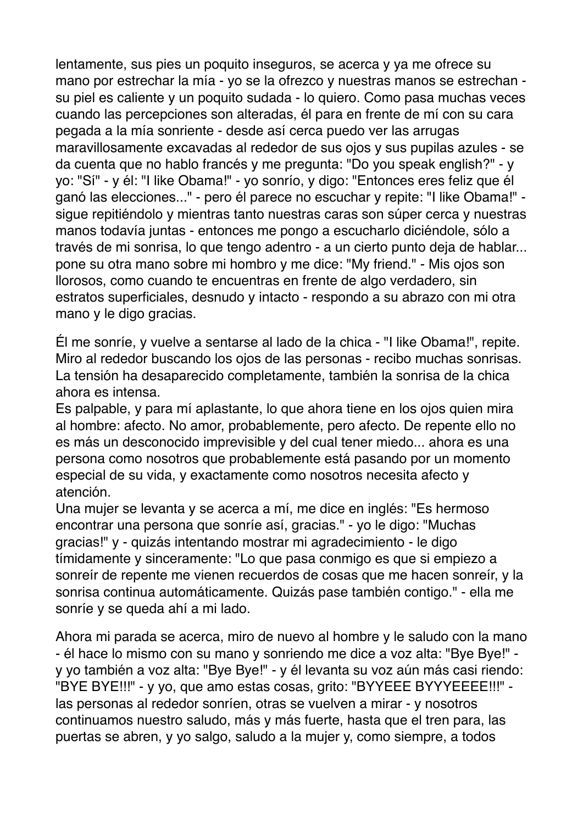lentamente, sus pies un poquito inseguros, se acerca y ya me ofrece su mano por estrechar la mía - yo se la ofrezco y nuestras manos se estrechan su piel es caliente y un poquito sudada - lo quiero. Como pasa muchas veces cuando las percepciones son alteradas, él para en frente de mí con su cara pegada a la mía sonriente - desde así cerca puedo ver las arrugas maravillosamente excavadas al rededor de sus ojos y sus pupilas azules - se da cuenta que no hablo francés y me pregunta: "Do you speak english?" - y yo: "Sí" - y él: "I like Obama!" - yo sonrío, y digo: "Entonces eres feliz que él ganó las elecciones..." - pero él parece no escuchar y repite: "I like Obama!" sigue repitiéndolo y mientras tanto nuestras caras son súper cerca y nuestras manos todavía juntas - entonces me pongo a escucharlo diciéndole, sólo a través de mi sonrisa, lo que tengo adentro - a un cierto punto deja de hablar... pone su otra mano sobre mi hombro y me dice: "My friend." - Mis ojos son llorosos, como cuando te encuentras en frente de algo verdadero, sin estratos superficiales, desnudo y intacto - respondo a su abrazo con mi otra mano y le digo gracias.

Él me sonríe, y vuelve a sentarse al lado de la chica - "I like Obama!", repite. Miro al rededor buscando los ojos de las personas - recibo muchas sonrisas. La tensión ha desaparecido completamente, también la sonrisa de la chica ahora es intensa.

Es palpable, y para mí aplastante, lo que ahora tiene en los ojos quien mira al hombre: afecto. No amor, probablemente, pero afecto. De repente ello no es más un desconocido imprevisible y del cual tener miedo... ahora es una persona como nosotros que probablemente está pasando por un momento especial de su vida, y exactamente como nosotros necesita afecto y atención.

Una mujer se levanta y se acerca a mí, me dice en inglés: "Es hermoso encontrar una persona que sonríe así, gracias." - yo le digo: "Muchas gracias!" y - quizás intentando mostrar mi agradecimiento - le digo tímidamente y sinceramente: "Lo que pasa conmigo es que si empiezo a sonreír de repente me vienen recuerdos de cosas que me hacen sonreír, y la sonrisa continua automáticamente. Quizás pase también contigo." - ella me sonríe y se queda ahí a mi lado.

Ahora mi parada se acerca, miro de nuevo al hombre y le saludo con la mano - él hace lo mismo con su mano y sonriendo me dice a voz alta: "Bye Bye!" y yo también a voz alta: "Bye Bye!" - y él levanta su voz aún más casi riendo: "BYE BYE!!!" - y yo, que amo estas cosas, grito: "BYYEEE BYYYEEEE!!!" las personas al rededor sonríen, otras se vuelven a mirar - y nosotros continuamos nuestro saludo, más y más fuerte, hasta que el tren para, las puertas se abren, y yo salgo, saludo a la mujer y, como siempre, a todos